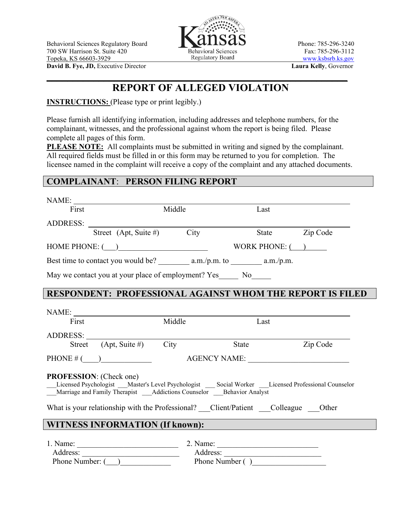

**David B. Fye, JD,** Executive Director **Laura Kelly**, Governor

## **REPORT OF ALLEGED VIOLATION**

 $\mathcal{L} = \{ \mathcal{L} \mid \mathcal{L} \in \mathcal{L} \}$  , where  $\mathcal{L} = \{ \mathcal{L} \mid \mathcal{L} \in \mathcal{L} \}$  ,  $\mathcal{L} = \{ \mathcal{L} \mid \mathcal{L} \in \mathcal{L} \}$ 

**INSTRUCTIONS:** (Please type or print legibly.)

Please furnish all identifying information, including addresses and telephone numbers, for the complainant, witnesses, and the professional against whom the report is being filed. Please complete all pages of this form.

**PLEASE NOTE:** All complaints must be submitted in writing and signed by the complainant. All required fields must be filled in or this form may be returned to you for completion. The licensee named in the complaint will receive a copy of the complaint and any attached documents.

## **COMPLAINANT**: **PERSON FILING REPORT**

| NAME:                |                                                                                                                                                                                                                                |        |       |                 |          |
|----------------------|--------------------------------------------------------------------------------------------------------------------------------------------------------------------------------------------------------------------------------|--------|-------|-----------------|----------|
| First                |                                                                                                                                                                                                                                | Middle |       | Last            |          |
| ADDRESS:             |                                                                                                                                                                                                                                |        |       |                 |          |
|                      | Street (Apt, Suite #) City                                                                                                                                                                                                     |        |       | <b>State</b>    | Zip Code |
| HOME PHONE: $(\_\_)$ |                                                                                                                                                                                                                                |        |       | WORK PHONE: $($ |          |
|                      |                                                                                                                                                                                                                                |        |       |                 |          |
|                      | May we contact you at your place of employment? Yes________ No_______                                                                                                                                                          |        |       |                 |          |
|                      | <b>RESPONDENT: PROFESSIONAL AGAINST WHOM THE REPORT IS FILED</b>                                                                                                                                                               |        |       |                 |          |
|                      |                                                                                                                                                                                                                                |        |       |                 |          |
|                      |                                                                                                                                                                                                                                |        |       |                 |          |
| First                |                                                                                                                                                                                                                                | Middle |       | Last            |          |
|                      | ADDRESS:                                                                                                                                                                                                                       |        |       |                 |          |
|                      | Street $(Apt, Suite \#)$ City                                                                                                                                                                                                  |        | State |                 | Zip Code |
| AGENCY NAME:         |                                                                                                                                                                                                                                |        |       |                 |          |
|                      | <b>PROFESSION:</b> (Check one)                                                                                                                                                                                                 |        |       |                 |          |
|                      | Licensed Psychologist Master's Level Psychologist Social Worker Licensed Professional Counselor<br>Marriage and Family Therapist ____Addictions Counselor ____Behavior Analyst                                                 |        |       |                 |          |
|                      | What is your relationship with the Professional? Client/Patient Colleague Other                                                                                                                                                |        |       |                 |          |
|                      | <b>WITNESS INFORMATION (If known):</b>                                                                                                                                                                                         |        |       |                 |          |
|                      |                                                                                                                                                                                                                                |        |       |                 |          |
|                      | 1. Name: 2. Name: 2. Name: 2. Name: 2. Name: 2. Name: 2. Name: 2. Name: 2. Name: 2. Name: 2. Name: 2. Name: 2. Name: 2. Name: 2. Name: 2. Name: 2. Name: 2. Name: 2. Name: 2. Name: 2. Name: 2. Name: 2. Name: 2. Name: 2. Nam |        |       |                 |          |
|                      | Phone Number ()                                                                                                                                                                                                                |        |       |                 |          |
|                      | Phone Number: $(\_\_)$                                                                                                                                                                                                         |        |       |                 |          |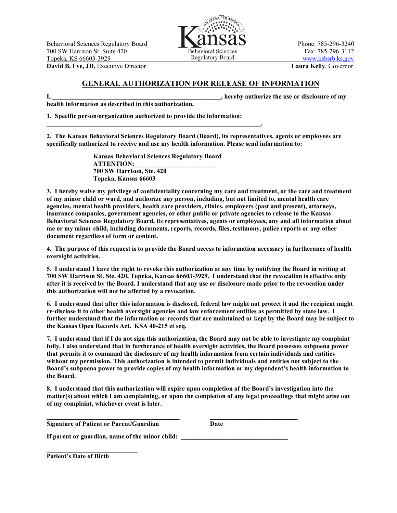Behavioral Sciences Regulatory Board **Phone: 785-296-3240** Phone: 785-296-3240 700 SW Harrison St. Suite 420 Behavioral Sciences Fax: 785-296-3112<br>
Topeka KS 66603-3929 Regulatory Board Www kshsrb ks gov Topeka, KS 66603-3929 **Example 31 Second** Regulatory Board **[www.ksbsrb.ks.gov](http://www.ksbsrb.ks.gov/)** WWW.ksbsrb.ks.gov



**David B. Fye, JD,** Executive Director **Laura Kelly**, Governor \_\_\_\_\_\_\_\_\_\_\_\_\_\_\_\_\_\_\_\_\_\_\_\_\_\_\_\_\_\_\_\_\_\_\_\_\_\_\_\_\_\_\_\_\_\_\_\_\_\_\_\_\_\_\_\_\_\_\_\_\_\_\_\_\_\_\_\_\_\_\_\_\_\_\_\_\_\_

## **GENERAL AUTHORIZATION FOR RELEASE OF INFORMATION**

**health information as described in this authorization.**

**I, the contract of my**  $\alpha$ , hereby authorize the use or disclosure of my

**1. Specific person/organization authorized to provide the information:**

**\_\_\_\_\_\_\_\_\_\_\_\_\_\_\_\_\_\_\_\_\_\_\_\_\_\_\_\_\_\_\_\_\_\_\_\_\_\_\_\_\_\_\_\_\_\_\_\_\_\_\_\_\_\_\_\_\_\_\_\_\_\_\_\_\_\_.**

**2. The Kansas Behavioral Sciences Regulatory Board (Board), its representatives, agents or employees are specifically authorized to receive and use my health information. Please send information to:**

> **Kansas Behavioral Sciences Regulatory Board ATTENTION: \_\_\_\_\_\_\_\_\_\_\_\_\_\_\_\_\_\_\_\_\_\_\_\_\_ 700 SW Harrison, Ste. 420 Topeka, Kansas 66603**

**3. I hereby waive my privilege of confidentiality concerning my care and treatment, or the care and treatment of my minor child or ward, and authorize any person, including, but not limited to, mental health care agencies, mental health providers, health care providers, clinics, employers (past and present), attorneys, insurance companies, government agencies, or other public or private agencies to release to the Kansas Behavioral Sciences Regulatory Board, its representatives, agents or employees, any and all information about me or my minor child, including documents, reports, records, files, testimony, police reports or any other document regardless of form or content.**

**4. The purpose of this request is to provide the Board access to information necessary in furtherance of health oversight activities.**

**5. I understand I have the right to revoke this authorization at any time by notifying the Board in writing at 700 SW Harrison St. Ste. 420, Topeka, Kansas 66603-3929. I understand that the revocation is effective only after it is received by the Board. I understand that any use or disclosure made prior to the revocation under this authorization will not be affected by a revocation.**

**6. I understand that after this information is disclosed, federal law might not protect it and the recipient might re-disclose it to other health oversight agencies and law enforcement entities as permitted by state law. I further understand that the information or records that are maintained or kept by the Board may be subject to the Kansas Open Records Act. KSA 40-215 et seq.**

**7. I understand that if I do not sign this authorization, the Board may not be able to investigate my complaint fully. I also understand that in furtherance of health oversight activities, the Board possesses subpoena power that permits it to command the disclosure of my health information from certain individuals and entities without my permission. This authorization is intended to permit individuals and entities not subject to the Board's subpoena power to provide copies of my health information or my dependent's health information to the Board.**

**8. I understand that this authorization will expire upon completion of the Board's investigation into the matter(s) about which I am complaining, or upon the completion of any legal proceedings that might arise out of my complaint, whichever event is later.**

**\_\_\_\_\_\_\_\_\_\_\_\_\_\_\_\_\_\_\_\_\_\_\_\_\_\_\_\_\_\_\_\_\_\_\_\_\_\_\_\_\_ \_\_\_\_\_\_\_\_\_\_\_\_\_\_\_\_\_\_\_\_\_\_\_\_\_\_\_ Signature of Patient or Parent/Guardian Date** 

**If parent or guardian, name of the minor child: \_\_\_\_\_\_\_\_\_\_\_\_\_\_\_\_\_\_\_\_\_\_\_\_\_\_\_\_\_\_\_\_\_**

**\_\_\_\_\_\_\_\_\_\_\_\_\_\_\_\_\_\_\_\_\_\_\_\_\_\_\_\_ Patient's Date of Birth**